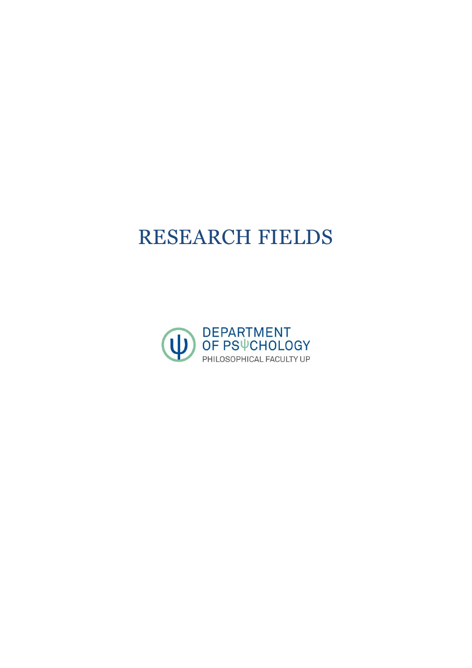# RESEARCH FIELDS

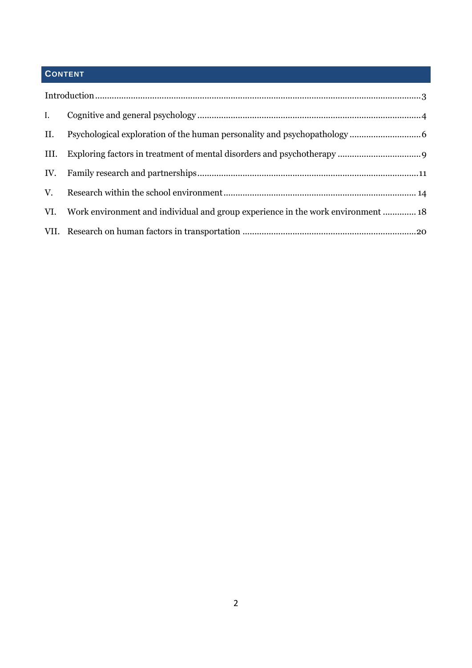# **CONTENT**

| $\mathbf{I}$ . |                                                                                  |
|----------------|----------------------------------------------------------------------------------|
| II.            |                                                                                  |
| III.           |                                                                                  |
|                |                                                                                  |
|                |                                                                                  |
| VI.            | Work environment and individual and group experience in the work environment  18 |
|                |                                                                                  |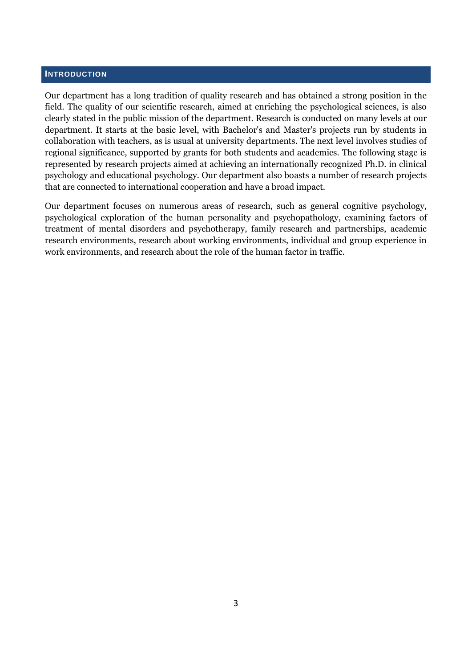# <span id="page-2-0"></span>**INTRODUCTION**

Our department has a long tradition of quality research and has obtained a strong position in the field. The quality of our scientific research, aimed at enriching the psychological sciences, is also clearly stated in the public mission of the department. Research is conducted on many levels at our department. It starts at the basic level, with Bachelor's and Master's projects run by students in collaboration with teachers, as is usual at university departments. The next level involves studies of regional significance, supported by grants for both students and academics. The following stage is represented by research projects aimed at achieving an internationally recognized Ph.D. in clinical psychology and educational psychology. Our department also boasts a number of research projects that are connected to international cooperation and have a broad impact.

Our department focuses on numerous areas of research, such as general cognitive psychology, psychological exploration of the human personality and psychopathology, examining factors of treatment of mental disorders and psychotherapy, family research and partnerships, academic research environments, research about working environments, individual and group experience in work environments, and research about the role of the human factor in traffic.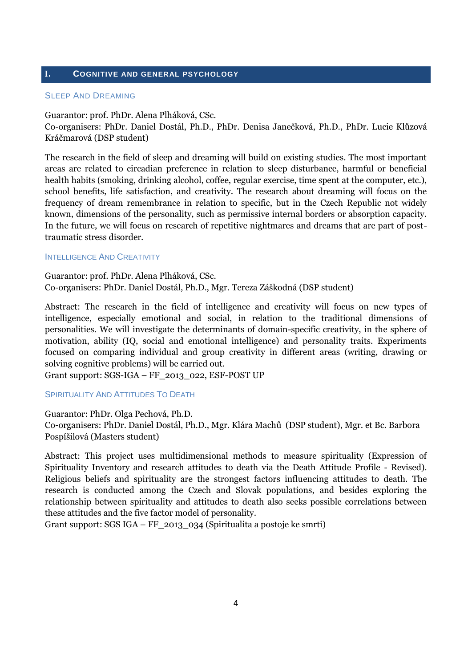# <span id="page-3-0"></span>**I. COGNITIVE AND GENERAL PSYCHOLOGY**

#### SLEEP AND DREAMING

Guarantor: prof. PhDr. Alena Plháková, CSc.

Co-organisers: PhDr. Daniel Dostál, Ph.D., PhDr. Denisa Janečková, Ph.D., PhDr. Lucie Klůzová Kráčmarová (DSP student)

The research in the field of sleep and dreaming will build on existing studies. The most important areas are related to circadian preference in relation to sleep disturbance, harmful or beneficial health habits (smoking, drinking alcohol, coffee, regular exercise, time spent at the computer, etc.), school benefits, life satisfaction, and creativity. The research about dreaming will focus on the frequency of dream remembrance in relation to specific, but in the Czech Republic not widely known, dimensions of the personality, such as permissive internal borders or absorption capacity. In the future, we will focus on research of repetitive nightmares and dreams that are part of posttraumatic stress disorder.

## INTELLIGENCE AND CREATIVITY

Guarantor: prof. PhDr. Alena Plháková, CSc. Co-organisers: PhDr. Daniel Dostál, Ph.D., Mgr. Tereza Záškodná (DSP student)

Abstract: The research in the field of intelligence and creativity will focus on new types of intelligence, especially emotional and social, in relation to the traditional dimensions of personalities. We will investigate the determinants of domain-specific creativity, in the sphere of motivation, ability (IQ, social and emotional intelligence) and personality traits. Experiments focused on comparing individual and group creativity in different areas (writing, drawing or solving cognitive problems) will be carried out.

Grant support: SGS-IGA – FF\_2013\_022, ESF-POST UP

## **SPIRITUALITY AND ATTITUDES TO DEATH**

Guarantor: PhDr. Olga Pechová, Ph.D. Co-organisers: PhDr. Daniel Dostál, Ph.D., Mgr. Klára Machů (DSP student), Mgr. et Bc. Barbora Pospíšilová (Masters student)

Abstract: This project uses multidimensional methods to measure spirituality (Expression of Spirituality Inventory and research attitudes to death via the Death Attitude Profile - Revised). Religious beliefs and spirituality are the strongest factors influencing attitudes to death. The research is conducted among the Czech and Slovak populations, and besides exploring the relationship between spirituality and attitudes to death also seeks possible correlations between these attitudes and the five factor model of personality.

Grant support: SGS IGA – FF\_2013\_034 (Spiritualita a postoje ke smrti)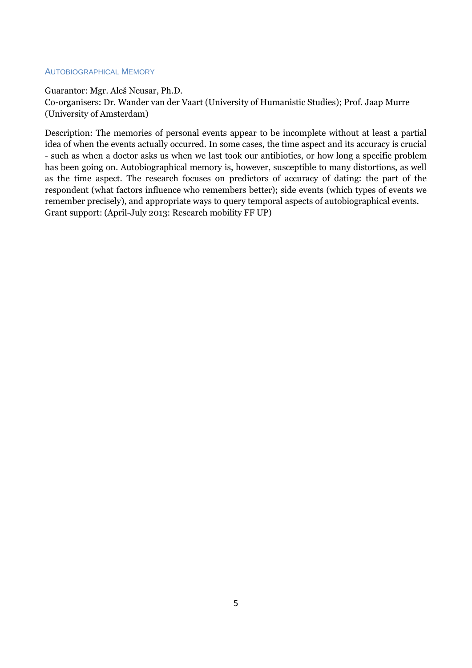# AUTOBIOGRAPHICAL MEMORY

Guarantor: Mgr. Aleš Neusar, Ph.D.

Co-organisers: Dr. Wander van der Vaart (University of Humanistic Studies); Prof. Jaap Murre (University of Amsterdam)

Description: The memories of personal events appear to be incomplete without at least a partial idea of when the events actually occurred. In some cases, the time aspect and its accuracy is crucial - such as when a doctor asks us when we last took our antibiotics, or how long a specific problem has been going on. Autobiographical memory is, however, susceptible to many distortions, as well as the time aspect. The research focuses on predictors of accuracy of dating: the part of the respondent (what factors influence who remembers better); side events (which types of events we remember precisely), and appropriate ways to query temporal aspects of autobiographical events. Grant support: (April-July 2013: Research mobility FF UP)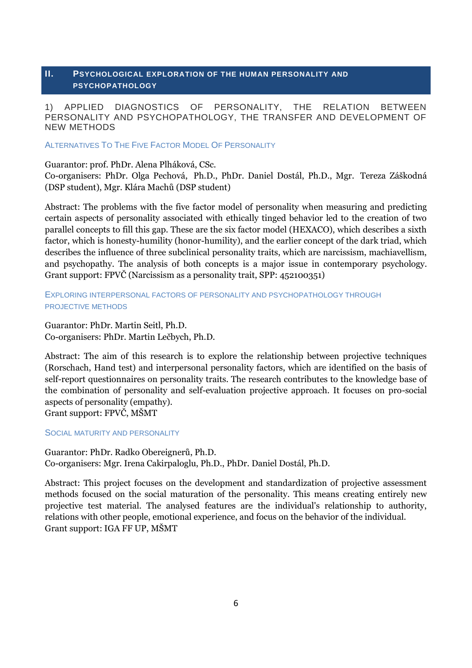# <span id="page-5-0"></span>**II. PSYCHOLOGICAL EXPLORATION OF THE HUMAN PERSONALITY AND PSYCHOPATHOLOGY**

# 1) APPLIED DIAGNOSTICS OF PERSONALITY, THE RELATION BETWEEN PERSONALITY AND PSYCHOPATHOLOGY, THE TRANSFER AND DEVELOPMENT OF NEW METHODS

ALTERNATIVES TO THE FIVE FACTOR MODEL OF PERSONALITY

Guarantor: prof. PhDr. Alena Plháková, CSc.

Co-organisers: PhDr. Olga Pechová, Ph.D., PhDr. Daniel Dostál, Ph.D., Mgr. Tereza Záškodná (DSP student), Mgr. Klára Machů (DSP student)

Abstract: The problems with the five factor model of personality when measuring and predicting certain aspects of personality associated with ethically tinged behavior led to the creation of two parallel concepts to fill this gap. These are the six factor model (HEXACO), which describes a sixth factor, which is honesty-humility (honor-humility), and the earlier concept of the dark triad, which describes the influence of three subclinical personality traits, which are narcissism, machiavellism, and psychopathy. The analysis of both concepts is a major issue in contemporary psychology. Grant support: FPVČ (Narcissism as a personality trait, SPP: 452100351)

# EXPLORING INTERPERSONAL FACTORS OF PERSONALITY AND PSYCHOPATHOLOGY THROUGH PROJECTIVE METHODS

Guarantor: PhDr. Martin Seitl, Ph.D. Co-organisers: PhDr. Martin Lečbych, Ph.D.

Abstract: The aim of this research is to explore the relationship between projective techniques (Rorschach, Hand test) and interpersonal personality factors, which are identified on the basis of self-report questionnaires on personality traits. The research contributes to the knowledge base of the combination of personality and self-evaluation projective approach. It focuses on pro-social aspects of personality (empathy). Grant support: FPVČ, MŠMT

SOCIAL MATURITY AND PERSONALITY

Guarantor: PhDr. Radko Obereignerů, Ph.D. Co-organisers: Mgr. Irena Cakirpaloglu, Ph.D., PhDr. Daniel Dostál, Ph.D.

Abstract: This project focuses on the development and standardization of projective assessment methods focused on the social maturation of the personality. This means creating entirely new projective test material. The analysed features are the individual's relationship to authority, relations with other people, emotional experience, and focus on the behavior of the individual. Grant support: IGA FF UP, MŠMT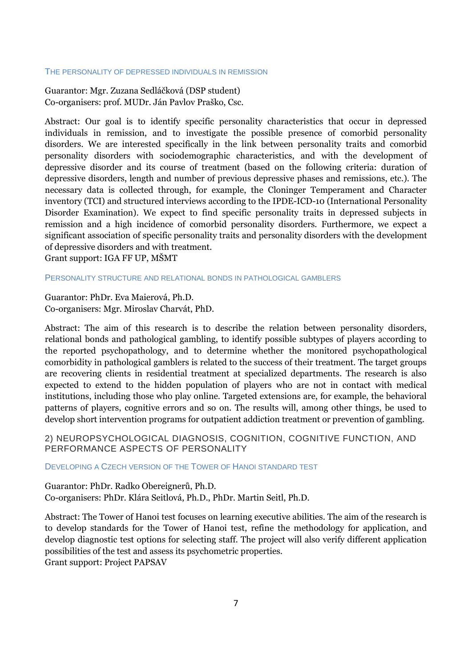#### THE PERSONALITY OF DEPRESSED INDIVIDUALS IN REMISSION

Guarantor: Mgr. Zuzana Sedláčková (DSP student) Co-organisers: prof. MUDr. Ján Pavlov Praško, Csc.

Abstract: Our goal is to identify specific personality characteristics that occur in depressed individuals in remission, and to investigate the possible presence of comorbid personality disorders. We are interested specifically in the link between personality traits and comorbid personality disorders with sociodemographic characteristics, and with the development of depressive disorder and its course of treatment (based on the following criteria: duration of depressive disorders, length and number of previous depressive phases and remissions, etc.). The necessary data is collected through, for example, the Cloninger Temperament and Character inventory (TCI) and structured interviews according to the IPDE-ICD-10 (International Personality Disorder Examination). We expect to find specific personality traits in depressed subjects in remission and a high incidence of comorbid personality disorders. Furthermore, we expect a significant association of specific personality traits and personality disorders with the development of depressive disorders and with treatment.

Grant support: IGA FF UP, MŠMT

#### PERSONALITY STRUCTURE AND RELATIONAL BONDS IN PATHOLOGICAL GAMBLERS

Guarantor: PhDr. Eva Maierová, Ph.D. Co-organisers: Mgr. Miroslav Charvát, PhD.

Abstract: The aim of this research is to describe the relation between personality disorders, relational bonds and pathological gambling, to identify possible subtypes of players according to the reported psychopathology, and to determine whether the monitored psychopathological comorbidity in pathological gamblers is related to the success of their treatment. The target groups are recovering clients in residential treatment at specialized departments. The research is also expected to extend to the hidden population of players who are not in contact with medical institutions, including those who play online. Targeted extensions are, for example, the behavioral patterns of players, cognitive errors and so on. The results will, among other things, be used to develop short intervention programs for outpatient addiction treatment or prevention of gambling.

2) NEUROPSYCHOLOGICAL DIAGNOSIS, COGNITION, COGNITIVE FUNCTION, AND PERFORMANCE ASPECTS OF PERSONALITY

DEVELOPING A CZECH VERSION OF THE TOWER OF HANOI STANDARD TEST

Guarantor: PhDr. Radko Obereignerů, Ph.D. Co-organisers: PhDr. Klára Seitlová, Ph.D., PhDr. Martin Seitl, Ph.D.

Abstract: The Tower of Hanoi test focuses on learning executive abilities. The aim of the research is to develop standards for the Tower of Hanoi test, refine the methodology for application, and develop diagnostic test options for selecting staff. The project will also verify different application possibilities of the test and assess its psychometric properties.

Grant support: Project PAPSAV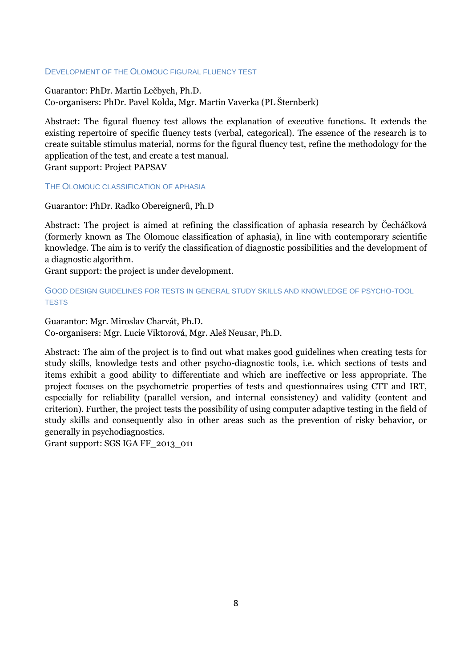# DEVELOPMENT OF THE OLOMOUC FIGURAL FLUENCY TEST

Guarantor: PhDr. Martin Lečbych, Ph.D. Co-organisers: PhDr. Pavel Kolda, Mgr. Martin Vaverka (PL Šternberk)

Abstract: The figural fluency test allows the explanation of executive functions. It extends the existing repertoire of specific fluency tests (verbal, categorical). The essence of the research is to create suitable stimulus material, norms for the figural fluency test, refine the methodology for the application of the test, and create a test manual. Grant support: Project PAPSAV

THE OLOMOUC CLASSIFICATION OF APHASIA

Guarantor: PhDr. Radko Obereignerů, Ph.D

Abstract: The project is aimed at refining the classification of aphasia research by Čecháčková (formerly known as The Olomouc classification of aphasia), in line with contemporary scientific knowledge. The aim is to verify the classification of diagnostic possibilities and the development of a diagnostic algorithm.

Grant support: the project is under development.

GOOD DESIGN GUIDELINES FOR TESTS IN GENERAL STUDY SKILLS AND KNOWLEDGE OF PSYCHO-TOOL **TESTS** 

Guarantor: Mgr. Miroslav Charvát, Ph.D. Co-organisers: Mgr. Lucie Viktorová, Mgr. Aleš Neusar, Ph.D.

Abstract: The aim of the project is to find out what makes good guidelines when creating tests for study skills, knowledge tests and other psycho-diagnostic tools, i.e. which sections of tests and items exhibit a good ability to differentiate and which are ineffective or less appropriate. The project focuses on the psychometric properties of tests and questionnaires using CTT and IRT, especially for reliability (parallel version, and internal consistency) and validity (content and criterion). Further, the project tests the possibility of using computer adaptive testing in the field of study skills and consequently also in other areas such as the prevention of risky behavior, or generally in psychodiagnostics.

Grant support: SGS IGA FF\_2013\_011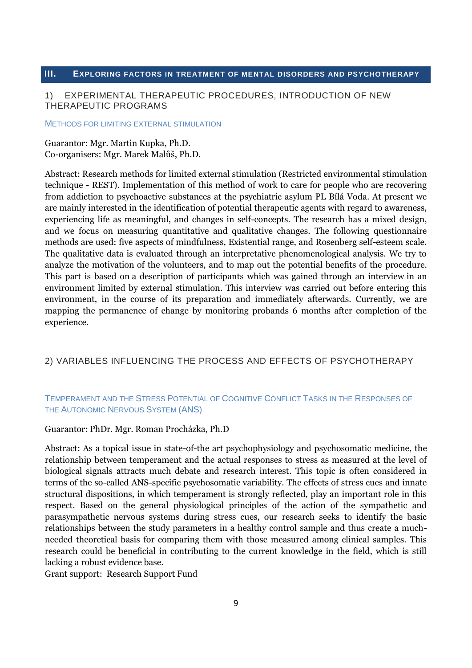# <span id="page-8-0"></span>**III. EXPLORING FACTORS IN TREATMENT OF MENTAL DISORDERS AND PSYCHOTHERAPY**

# 1) EXPERIMENTAL THERAPEUTIC PROCEDURES, INTRODUCTION OF NEW THERAPEUTIC PROGRAMS

#### METHODS FOR LIMITING EXTERNAL STIMULATION

Guarantor: Mgr. Martin Kupka, Ph.D. Co-organisers: Mgr. Marek Malůš, Ph.D.

Abstract: Research methods for limited external stimulation (Restricted environmental stimulation technique - REST). Implementation of this method of work to care for people who are recovering from addiction to psychoactive substances at the psychiatric asylum PL Bílá Voda. At present we are mainly interested in the identification of potential therapeutic agents with regard to awareness, experiencing life as meaningful, and changes in self-concepts. The research has a mixed design, and we focus on measuring quantitative and qualitative changes. The following questionnaire methods are used: five aspects of mindfulness, Existential range, and Rosenberg self-esteem scale. The qualitative data is evaluated through an interpretative phenomenological analysis. We try to analyze the motivation of the volunteers, and to map out the potential benefits of the procedure. This part is based on a description of participants which was gained through an interview in an environment limited by external stimulation. This interview was carried out before entering this environment, in the course of its preparation and immediately afterwards. Currently, we are mapping the permanence of change by monitoring probands 6 months after completion of the experience.

## 2) VARIABLES INFLUENCING THE PROCESS AND EFFECTS OF PSYCHOTHERAPY

# TEMPERAMENT AND THE STRESS POTENTIAL OF COGNITIVE CONFLICT TASKS IN THE RESPONSES OF THE AUTONOMIC NERVOUS SYSTEM (ANS)

#### Guarantor: PhDr. Mgr. Roman Procházka, Ph.D

Abstract: As a topical issue in state-of-the art psychophysiology and psychosomatic medicine, the relationship between temperament and the actual responses to stress as measured at the level of biological signals attracts much debate and research interest. This topic is often considered in terms of the so-called ANS-specific psychosomatic variability. The effects of stress cues and innate structural dispositions, in which temperament is strongly reflected, play an important role in this respect. Based on the general physiological principles of the action of the sympathetic and parasympathetic nervous systems during stress cues, our research seeks to identify the basic relationships between the study parameters in a healthy control sample and thus create a muchneeded theoretical basis for comparing them with those measured among clinical samples. This research could be beneficial in contributing to the current knowledge in the field, which is still lacking a robust evidence base.

Grant support: Research Support Fund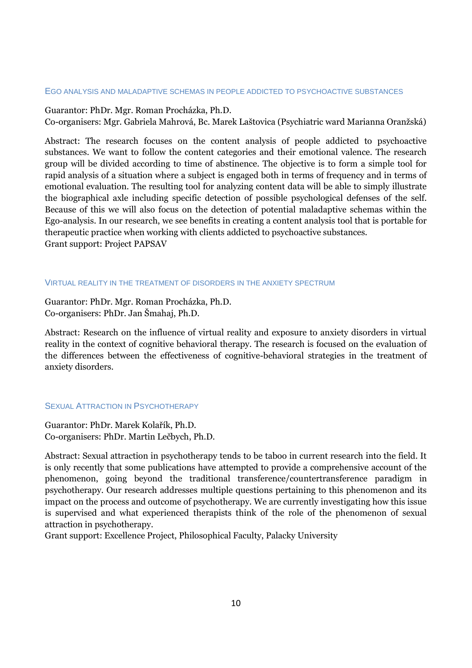#### EGO ANALYSIS AND MALADAPTIVE SCHEMAS IN PEOPLE ADDICTED TO PSYCHOACTIVE SUBSTANCES

Guarantor: PhDr. Mgr. Roman Procházka, Ph.D.

Co-organisers: Mgr. Gabriela Mahrová, Bc. Marek Laštovica (Psychiatric ward Marianna Oranžská)

Abstract: The research focuses on the content analysis of people addicted to psychoactive substances. We want to follow the content categories and their emotional valence. The research group will be divided according to time of abstinence. The objective is to form a simple tool for rapid analysis of a situation where a subject is engaged both in terms of frequency and in terms of emotional evaluation. The resulting tool for analyzing content data will be able to simply illustrate the biographical axle including specific detection of possible psychological defenses of the self. Because of this we will also focus on the detection of potential maladaptive schemas within the Ego-analysis. In our research, we see benefits in creating a content analysis tool that is portable for therapeutic practice when working with clients addicted to psychoactive substances. Grant support: Project PAPSAV

#### VIRTUAL REALITY IN THE TREATMENT OF DISORDERS IN THE ANXIETY SPECTRUM

Guarantor: PhDr. Mgr. Roman Procházka, Ph.D. Co-organisers: PhDr. Jan Šmahaj, Ph.D.

Abstract: Research on the influence of virtual reality and exposure to anxiety disorders in virtual reality in the context of cognitive behavioral therapy. The research is focused on the evaluation of the differences between the effectiveness of cognitive-behavioral strategies in the treatment of anxiety disorders.

# SEXUAL ATTRACTION IN PSYCHOTHERAPY

Guarantor: PhDr. Marek Kolařík, Ph.D. Co-organisers: PhDr. Martin Lečbych, Ph.D.

Abstract: Sexual attraction in psychotherapy tends to be taboo in current research into the field. It is only recently that some publications have attempted to provide a comprehensive account of the phenomenon, going beyond the traditional transference/countertransference paradigm in psychotherapy. Our research addresses multiple questions pertaining to this phenomenon and its impact on the process and outcome of psychotherapy. We are currently investigating how this issue is supervised and what experienced therapists think of the role of the phenomenon of sexual attraction in psychotherapy.

Grant support: Excellence Project, Philosophical Faculty, Palacky University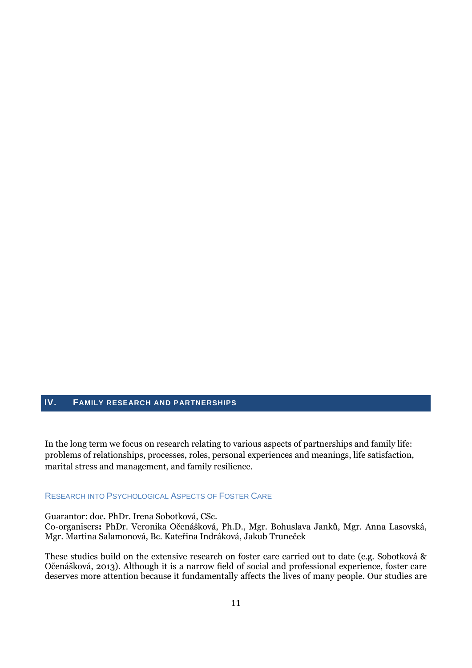# <span id="page-10-0"></span>**IV. FAMILY RESEARCH AND PARTNERSHIPS**

In the long term we focus on research relating to various aspects of partnerships and family life: problems of relationships, processes, roles, personal experiences and meanings, life satisfaction, marital stress and management, and family resilience.

# RESEARCH INTO PSYCHOLOGICAL ASPECTS OF FOSTER CARE

Guarantor: doc. PhDr. Irena Sobotková, CSc.

Co-organisers**:** PhDr. Veronika Očenášková, Ph.D., Mgr. Bohuslava Janků, Mgr. Anna Lasovská, Mgr. Martina Salamonová, Bc. Kateřina Indráková, Jakub Truneček

These studies build on the extensive research on foster care carried out to date (e.g. Sobotková & Očenášková, 2013). Although it is a narrow field of social and professional experience, foster care deserves more attention because it fundamentally affects the lives of many people. Our studies are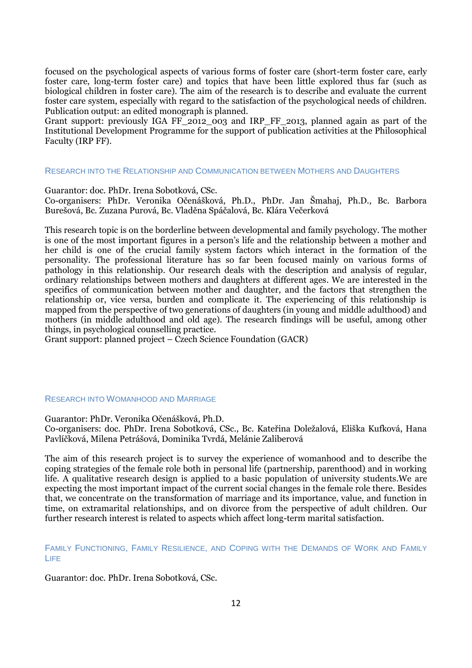focused on the psychological aspects of various forms of foster care (short-term foster care, early foster care, long-term foster care) and topics that have been little explored thus far (such as biological children in foster care). The aim of the research is to describe and evaluate the current foster care system, especially with regard to the satisfaction of the psychological needs of children. Publication output: an edited monograph is planned.

Grant support: previously IGA FF 2012 003 and IRP FF 2013, planned again as part of the Institutional Development Programme for the support of publication activities at the Philosophical Faculty (IRP FF).

#### RESEARCH INTO THE RELATIONSHIP AND COMMUNICATION BETWEEN MOTHERS AND DAUGHTERS

Guarantor: doc. PhDr. Irena Sobotková, CSc.

Co-organisers: PhDr. Veronika Očenášková, Ph.D., PhDr. Jan Šmahaj, Ph.D., Bc. Barbora Burešová, Bc. Zuzana Purová, Bc. Vladěna Spáčalová, Bc. Klára Večerková

This research topic is on the borderline between developmental and family psychology. The mother is one of the most important figures in a person's life and the relationship between a mother and her child is one of the crucial family system factors which interact in the formation of the personality. The professional literature has so far been focused mainly on various forms of pathology in this relationship. Our research deals with the description and analysis of regular, ordinary relationships between mothers and daughters at different ages. We are interested in the specifics of communication between mother and daughter, and the factors that strengthen the relationship or, vice versa, burden and complicate it. The experiencing of this relationship is mapped from the perspective of two generations of daughters (in young and middle adulthood) and mothers (in middle adulthood and old age). The research findings will be useful, among other things, in psychological counselling practice.

Grant support: planned project – Czech Science Foundation (GACR)

#### RESEARCH INTO WOMANHOOD AND MARRIAGE

Guarantor: PhDr. Veronika Očenášková, Ph.D.

Co-organisers: doc. PhDr. Irena Sobotková, CSc., Bc. Kateřina Doležalová, Eliška Kufková, Hana Pavlíčková, Milena Petrášová, Dominika Tvrdá, Melánie Zaliberová

The aim of this research project is to survey the experience of womanhood and to describe the coping strategies of the female role both in personal life (partnership, parenthood) and in working life. A qualitative research design is applied to a basic population of university students.We are expecting the most important impact of the current social changes in the female role there. Besides that, we concentrate on the transformation of marriage and its importance, value, and function in time, on extramarital relationships, and on divorce from the perspective of adult children. Our further research interest is related to aspects which affect long-term marital satisfaction.

FAMILY FUNCTIONING, FAMILY RESILIENCE, AND COPING WITH THE DEMANDS OF WORK AND FAMILY LIFE

Guarantor: doc. PhDr. Irena Sobotková, CSc.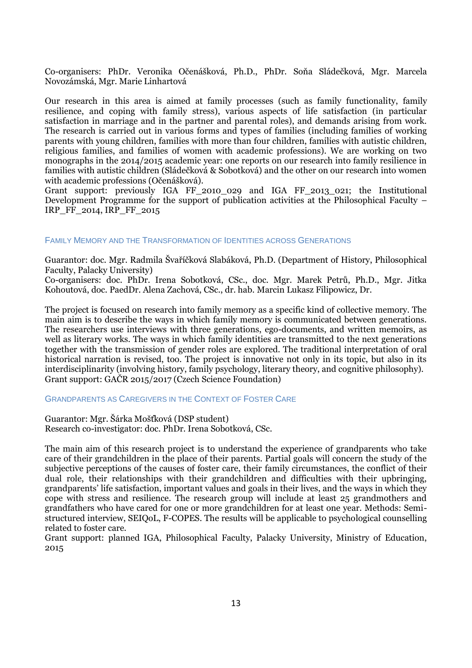Co-organisers: PhDr. Veronika Očenášková, Ph.D., PhDr. Soňa Sládečková, Mgr. Marcela Novozámská, Mgr. Marie Linhartová

Our research in this area is aimed at family processes (such as family functionality, family resilience, and coping with family stress), various aspects of life satisfaction (in particular satisfaction in marriage and in the partner and parental roles), and demands arising from work. The research is carried out in various forms and types of families (including families of working parents with young children, families with more than four children, families with autistic children, religious families, and families of women with academic professions). We are working on two monographs in the 2014/2015 academic year: one reports on our research into family resilience in families with autistic children (Sládečková & Sobotková) and the other on our research into women with academic professions (Očenášková).

Grant support: previously IGA FF\_2010\_029 and IGA FF\_2013\_021; the Institutional Development Programme for the support of publication activities at the Philosophical Faculty – IRP\_FF\_2014, IRP\_FF\_2015

#### FAMILY MEMORY AND THE TRANSFORMATION OF IDENTITIES ACROSS GENERATIONS

Guarantor: doc. Mgr. Radmila Švaříčková Slabáková, Ph.D. (Department of History, Philosophical Faculty, Palacky University)

Co-organisers: doc. PhDr. Irena Sobotková, CSc., doc. Mgr. Marek Petrů, Ph.D., Mgr. Jitka Kohoutová, doc. PaedDr. Alena Zachová, CSc., dr. hab. Marcin Lukasz Filipowicz, Dr.

The project is focused on research into family memory as a specific kind of collective memory. The main aim is to describe the ways in which family memory is communicated between generations. The researchers use interviews with three generations, ego-documents, and written memoirs, as well as literary works. The ways in which family identities are transmitted to the next generations together with the transmission of gender roles are explored. The traditional interpretation of oral historical narration is revised, too. The project is innovative not only in its topic, but also in its interdisciplinarity (involving history, family psychology, literary theory, and cognitive philosophy). Grant support: GAČR 2015/2017 (Czech Science Foundation)

GRANDPARENTS AS CAREGIVERS IN THE CONTEXT OF FOSTER CARE

# Guarantor: Mgr. Šárka Mošťková (DSP student)

Research co-investigator: doc. PhDr. Irena Sobotková, CSc.

The main aim of this research project is to understand the experience of grandparents who take care of their grandchildren in the place of their parents. Partial goals will concern the study of the subjective perceptions of the causes of foster care, their family circumstances, the conflict of their dual role, their relationships with their grandchildren and difficulties with their upbringing, grandparents' life satisfaction, important values and goals in their lives, and the ways in which they cope with stress and resilience. The research group will include at least 25 grandmothers and grandfathers who have cared for one or more grandchildren for at least one year. Methods: Semistructured interview, SEIQoL, F-COPES. The results will be applicable to psychological counselling related to foster care.

Grant support: planned IGA, Philosophical Faculty, Palacky University, Ministry of Education, 2015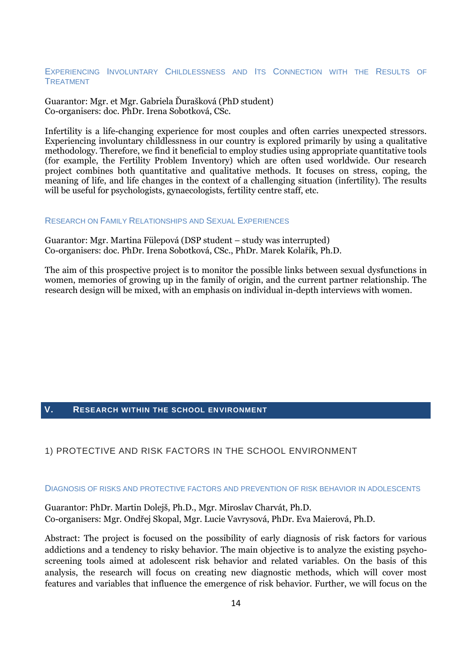#### EXPERIENCING INVOLUNTARY CHILDLESSNESS AND ITS CONNECTION WITH THE RESULTS OF TREATMENT

Guarantor: Mgr. et Mgr. Gabriela Ďurašková (PhD student) Co-organisers: doc. PhDr. Irena Sobotková, CSc.

Infertility is a life-changing experience for most couples and often carries unexpected stressors. Experiencing involuntary childlessness in our country is explored primarily by using a qualitative methodology. Therefore, we find it beneficial to employ studies using appropriate quantitative tools (for example, the Fertility Problem Inventory) which are often used worldwide. Our research project combines both quantitative and qualitative methods. It focuses on stress, coping, the meaning of life, and life changes in the context of a challenging situation (infertility). The results will be useful for psychologists, gynaecologists, fertility centre staff, etc.

#### RESEARCH ON FAMILY RELATIONSHIPS AND SEXUAL EXPERIENCES

Guarantor: Mgr. Martina Fülepová (DSP student – study was interrupted) Co-organisers: doc. PhDr. Irena Sobotková, CSc., PhDr. Marek Kolařík, Ph.D.

The aim of this prospective project is to monitor the possible links between sexual dysfunctions in women, memories of growing up in the family of origin, and the current partner relationship. The research design will be mixed, with an emphasis on individual in-depth interviews with women.

# <span id="page-13-0"></span>**V. RESEARCH WITHIN THE SCHOOL ENVIRONMENT**

# 1) PROTECTIVE AND RISK FACTORS IN THE SCHOOL ENVIRONMENT

#### DIAGNOSIS OF RISKS AND PROTECTIVE FACTORS AND PREVENTION OF RISK BEHAVIOR IN ADOLESCENTS

Guarantor: PhDr. Martin Dolejš, Ph.D., Mgr. Miroslav Charvát, Ph.D. Co-organisers: Mgr. Ondřej Skopal, Mgr. Lucie Vavrysová, PhDr. Eva Maierová, Ph.D.

Abstract: The project is focused on the possibility of early diagnosis of risk factors for various addictions and a tendency to risky behavior. The main objective is to analyze the existing psychoscreening tools aimed at adolescent risk behavior and related variables. On the basis of this analysis, the research will focus on creating new diagnostic methods, which will cover most features and variables that influence the emergence of risk behavior. Further, we will focus on the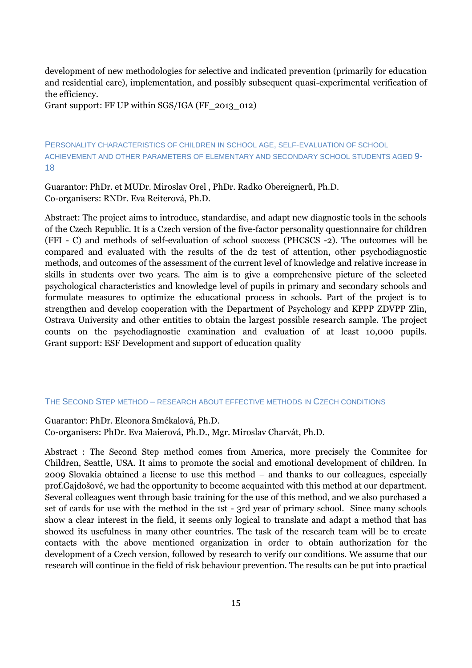development of new methodologies for selective and indicated prevention (primarily for education and residential care), implementation, and possibly subsequent quasi-experimental verification of the efficiency.

Grant support: FF UP within SGS/IGA (FF\_2013\_012)

PERSONALITY CHARACTERISTICS OF CHILDREN IN SCHOOL AGE, SELF-EVALUATION OF SCHOOL ACHIEVEMENT AND OTHER PARAMETERS OF ELEMENTARY AND SECONDARY SCHOOL STUDENTS AGED 9- 18

Guarantor: PhDr. et MUDr. Miroslav Orel , PhDr. Radko Obereignerů, Ph.D. Co-organisers: RNDr. Eva Reiterová, Ph.D.

Abstract: The project aims to introduce, standardise, and adapt new diagnostic tools in the schools of the Czech Republic. It is a Czech version of the five-factor personality questionnaire for children (FFI - C) and methods of self-evaluation of school success (PHCSCS -2). The outcomes will be compared and evaluated with the results of the d2 test of attention, other psychodiagnostic methods, and outcomes of the assessment of the current level of knowledge and relative increase in skills in students over two years. The aim is to give a comprehensive picture of the selected psychological characteristics and knowledge level of pupils in primary and secondary schools and formulate measures to optimize the educational process in schools. Part of the project is to strengthen and develop cooperation with the Department of Psychology and KPPP ZDVPP Zlin, Ostrava University and other entities to obtain the largest possible research sample. The project counts on the psychodiagnostic examination and evaluation of at least 10,000 pupils. Grant support: ESF Development and support of education quality

#### THE SECOND STEP METHOD – RESEARCH ABOUT EFFECTIVE METHODS IN CZECH CONDITIONS

Guarantor: PhDr. Eleonora Smékalová, Ph.D. Co-organisers: PhDr. Eva Maierová, Ph.D., Mgr. Miroslav Charvát, Ph.D.

Abstract : The Second Step method comes from America, more precisely the Commitee for Children, Seattle, USA. It aims to promote the social and emotional development of children. In 2009 Slovakia obtained a license to use this method – and thanks to our colleagues, especially prof.Gajdošové, we had the opportunity to become acquainted with this method at our department. Several colleagues went through basic training for the use of this method, and we also purchased a set of cards for use with the method in the 1st - 3rd year of primary school. Since many schools show a clear interest in the field, it seems only logical to translate and adapt a method that has showed its usefulness in many other countries. The task of the research team will be to create contacts with the above mentioned organization in order to obtain authorization for the development of a Czech version, followed by research to verify our conditions. We assume that our research will continue in the field of risk behaviour prevention. The results can be put into practical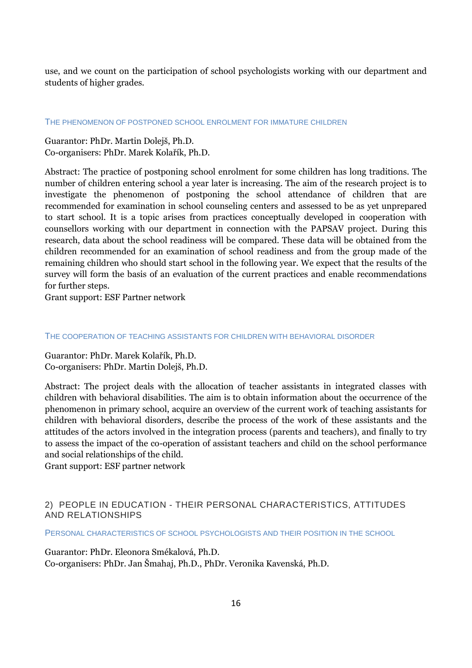use, and we count on the participation of school psychologists working with our department and students of higher grades.

#### THE PHENOMENON OF POSTPONED SCHOOL ENROLMENT FOR IMMATURE CHILDREN

Guarantor: PhDr. Martin Dolejš, Ph.D. Co-organisers: PhDr. Marek Kolařík, Ph.D.

Abstract: The practice of postponing school enrolment for some children has long traditions. The number of children entering school a year later is increasing. The aim of the research project is to investigate the phenomenon of postponing the school attendance of children that are recommended for examination in school counseling centers and assessed to be as yet unprepared to start school. It is a topic arises from practices conceptually developed in cooperation with counsellors working with our department in connection with the PAPSAV project. During this research, data about the school readiness will be compared. These data will be obtained from the children recommended for an examination of school readiness and from the group made of the remaining children who should start school in the following year. We expect that the results of the survey will form the basis of an evaluation of the current practices and enable recommendations for further steps.

Grant support: ESF Partner network

#### THE COOPERATION OF TEACHING ASSISTANTS FOR CHILDREN WITH BEHAVIORAL DISORDER

Guarantor: PhDr. Marek Kolařík, Ph.D. Co-organisers: PhDr. Martin Dolejš, Ph.D.

Abstract: The project deals with the allocation of teacher assistants in integrated classes with children with behavioral disabilities. The aim is to obtain information about the occurrence of the phenomenon in primary school, acquire an overview of the current work of teaching assistants for children with behavioral disorders, describe the process of the work of these assistants and the attitudes of the actors involved in the integration process (parents and teachers), and finally to try to assess the impact of the co-operation of assistant teachers and child on the school performance and social relationships of the child.

Grant support: ESF partner network

# 2) PEOPLE IN EDUCATION - THEIR PERSONAL CHARACTERISTICS, ATTITUDES AND RELATIONSHIPS

PERSONAL CHARACTERISTICS OF SCHOOL PSYCHOLOGISTS AND THEIR POSITION IN THE SCHOOL

Guarantor: PhDr. Eleonora Smékalová, Ph.D. Co-organisers: PhDr. Jan Šmahaj, Ph.D., PhDr. Veronika Kavenská, Ph.D.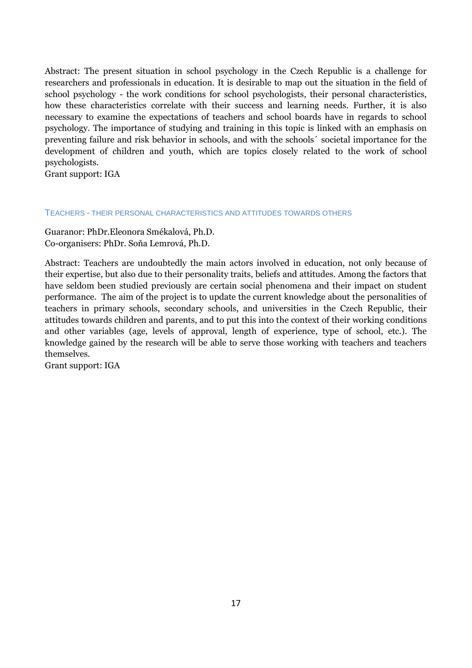Abstract: The present situation in school psychology in the Czech Republic is a challenge for researchers and professionals in education. It is desirable to map out the situation in the field of school psychology - the work conditions for school psychologists, their personal characteristics, how these characteristics correlate with their success and learning needs. Further, it is also necessary to examine the expectations of teachers and school boards have in regards to school psychology. The importance of studying and training in this topic is linked with an emphasis on preventing failure and risk behavior in schools, and with the schools´ societal importance for the development of children and youth, which are topics closely related to the work of school psychologists.

Grant support: IGA

## TEACHERS - THEIR PERSONAL CHARACTERISTICS AND ATTITUDES TOWARDS OTHERS

Guaranor: PhDr.Eleonora Smékalová, Ph.D. Co-organisers: PhDr. Soňa Lemrová, Ph.D.

Abstract: Teachers are undoubtedly the main actors involved in education, not only because of their expertise, but also due to their personality traits, beliefs and attitudes. Among the factors that have seldom been studied previously are certain social phenomena and their impact on student performance. The aim of the project is to update the current knowledge about the personalities of teachers in primary schools, secondary schools, and universities in the Czech Republic, their attitudes towards children and parents, and to put this into the context of their working conditions and other variables (age, levels of approval, length of experience, type of school, etc.). The knowledge gained by the research will be able to serve those working with teachers and teachers themselves.

Grant support: IGA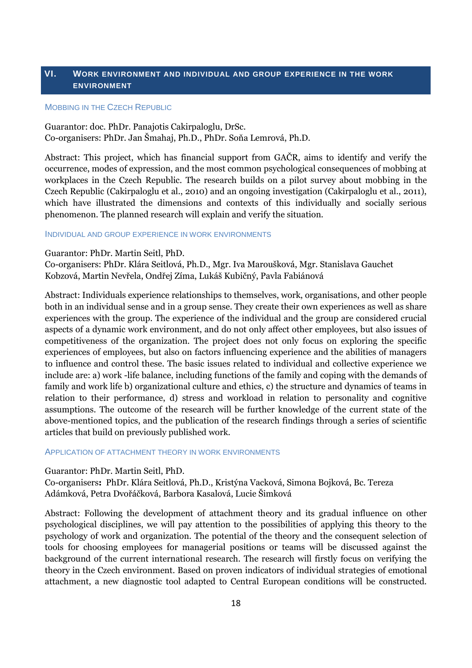# <span id="page-17-0"></span>**VI. WORK ENVIRONMENT AND INDIVIDUAL AND GROUP EXPERIENCE IN THE WORK ENVIRONMENT**

#### MOBBING IN THE CZECH REPUBLIC

Guarantor: doc. PhDr. Panajotis Cakirpaloglu, DrSc. Co-organisers: PhDr. Jan Šmahaj, Ph.D., PhDr. Soňa Lemrová, Ph.D.

Abstract: This project, which has financial support from GAČR, aims to identify and verify the occurrence, modes of expression, and the most common psychological consequences of mobbing at workplaces in the Czech Republic. The research builds on a pilot survey about mobbing in the Czech Republic (Cakirpaloglu et al., 2010) аnd an ongoing investigation (Cakirpaloglu et al., 2011), which have illustrated the dimensions and contexts of this individually and socially serious phenomenon. The planned research will explain and verify the situation.

#### INDIVIDUAL AND GROUP EXPERIENCE IN WORK ENVIRONMENTS

#### Guarantor: PhDr. Martin Seitl, PhD.

Co-organisers: PhDr. Klára Seitlová, Ph.D., Mgr. Iva Maroušková, Mgr. Stanislava Gauchet Kobzová, Martin Nevřela, Ondřej Zíma, Lukáš Kubičný, Pavla Fabiánová

Abstract: Individuals experience relationships to themselves, work, organisations, and other people both in an individual sense and in a group sense. They create their own experiences as well as share experiences with the group. The experience of the individual and the group are considered crucial aspects of a dynamic work environment, and do not only affect other employees, but also issues of competitiveness of the organization. The project does not only focus on exploring the specific experiences of employees, but also on factors influencing experience and the abilities of managers to influence and control these. The basic issues related to individual and collective experience we include are: a) work -life balance, including functions of the family and coping with the demands of family and work life b) organizational culture and ethics, c) the structure and dynamics of teams in relation to their performance, d) stress and workload in relation to personality and cognitive assumptions. The outcome of the research will be further knowledge of the current state of the above-mentioned topics, and the publication of the research findings through a series of scientific articles that build on previously published work.

#### APPLICATION OF ATTACHMENT THEORY IN WORK ENVIRONMENTS

#### Guarantor: PhDr. Martin Seitl, PhD.

Co-organisers**:** PhDr. Klára Seitlová, Ph.D., Kristýna Vacková, Simona Bojková, Bc. Tereza Adámková, Petra Dvořáčková, Barbora Kasalová, Lucie Šimková

Abstract: Following the development of attachment theory and its gradual influence on other psychological disciplines, we will pay attention to the possibilities of applying this theory to the psychology of work and organization. The potential of the theory and the consequent selection of tools for choosing employees for managerial positions or teams will be discussed against the background of the current international research. The research will firstly focus on verifying the theory in the Czech environment. Based on proven indicators of individual strategies of emotional attachment, a new diagnostic tool adapted to Central European conditions will be constructed.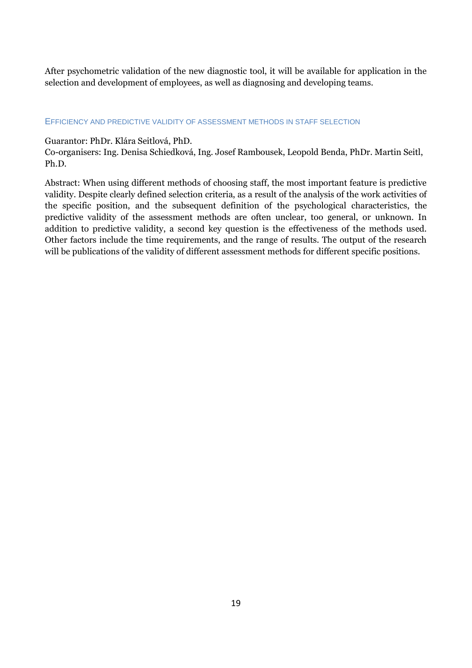After psychometric validation of the new diagnostic tool, it will be available for application in the selection and development of employees, as well as diagnosing and developing teams.

# EFFICIENCY AND PREDICTIVE VALIDITY OF ASSESSMENT METHODS IN STAFF SELECTION

# Guarantor: PhDr. Klára Seitlová, PhD.

Co-organisers: Ing. Denisa Schiedková, Ing. Josef Rambousek, Leopold Benda, PhDr. Martin Seitl, Ph.D.

Abstract: When using different methods of choosing staff, the most important feature is predictive validity. Despite clearly defined selection criteria, as a result of the analysis of the work activities of the specific position, and the subsequent definition of the psychological characteristics, the predictive validity of the assessment methods are often unclear, too general, or unknown. In addition to predictive validity, a second key question is the effectiveness of the methods used. Other factors include the time requirements, and the range of results. The output of the research will be publications of the validity of different assessment methods for different specific positions.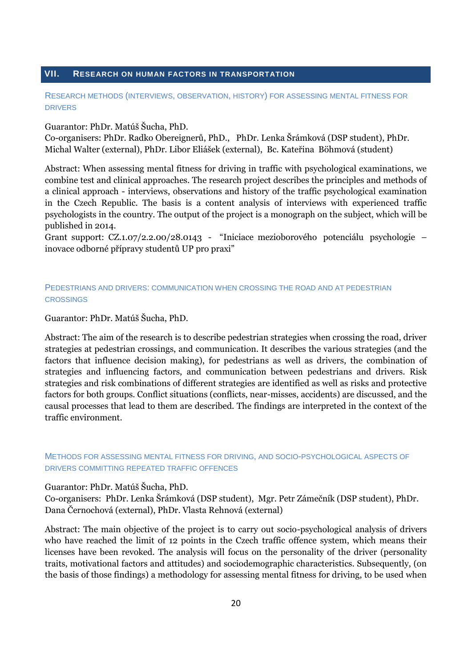# <span id="page-19-0"></span>**VII. RESEARCH ON HUMAN FACTORS IN TRANSPORTATION**

# RESEARCH METHODS (INTERVIEWS, OBSERVATION, HISTORY) FOR ASSESSING MENTAL FITNESS FOR DRIVERS

Guarantor: PhDr. Matúš Šucha, PhD.

Co-organisers: PhDr. Radko Obereignerů, PhD., PhDr. Lenka Šrámková (DSP student), PhDr. Michal Walter (external), PhDr. Libor Eliášek (external), Bc. Kateřina Böhmová (student)

Abstract: When assessing mental fitness for driving in traffic with psychological examinations, we combine test and clinical approaches. The research project describes the principles and methods of a clinical approach - interviews, observations and history of the traffic psychological examination in the Czech Republic. The basis is a content analysis of interviews with experienced traffic psychologists in the country. The output of the project is a monograph on the subject, which will be published in 2014.

Grant support: CZ.1.07/2.2.00/28.0143 - "Iniciace mezioborového potenciálu psychologie – inovace odborné přípravy studentů UP pro praxi"

# PEDESTRIANS AND DRIVERS: COMMUNICATION WHEN CROSSING THE ROAD AND AT PEDESTRIAN **CROSSINGS**

Guarantor: PhDr. Matúš Šucha, PhD.

Abstract: The aim of the research is to describe pedestrian strategies when crossing the road, driver strategies at pedestrian crossings, and communication. It describes the various strategies (and the factors that influence decision making), for pedestrians as well as drivers, the combination of strategies and influencing factors, and communication between pedestrians and drivers. Risk strategies and risk combinations of different strategies are identified as well as risks and protective factors for both groups. Conflict situations (conflicts, near-misses, accidents) are discussed, and the causal processes that lead to them are described. The findings are interpreted in the context of the traffic environment.

# METHODS FOR ASSESSING MENTAL FITNESS FOR DRIVING, AND SOCIO-PSYCHOLOGICAL ASPECTS OF DRIVERS COMMITTING REPEATED TRAFFIC OFFENCES

Guarantor: PhDr. Matúš Šucha, PhD.

Co-organisers: PhDr. Lenka Šrámková (DSP student), Mgr. Petr Zámečník (DSP student), PhDr. Dana Černochová (external), PhDr. Vlasta Rehnová (external)

Abstract: The main objective of the project is to carry out socio-psychological analysis of drivers who have reached the limit of 12 points in the Czech traffic offence system, which means their licenses have been revoked. The analysis will focus on the personality of the driver (personality traits, motivational factors and attitudes) and sociodemographic characteristics. Subsequently, (on the basis of those findings) a methodology for assessing mental fitness for driving, to be used when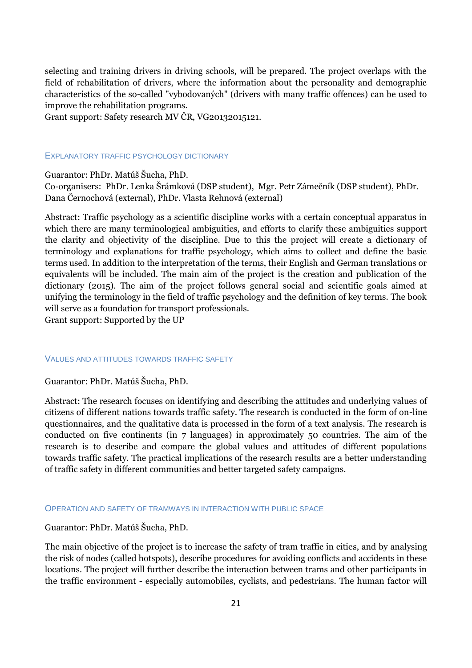selecting and training drivers in driving schools, will be prepared. The project overlaps with the field of rehabilitation of drivers, where the information about the personality and demographic characteristics of the so-called "vybodovaných" (drivers with many traffic offences) can be used to improve the rehabilitation programs.

Grant support: Safety research MV ČR, VG20132015121.

# EXPLANATORY TRAFFIC PSYCHOLOGY DICTIONARY

Guarantor: PhDr. Matúš Šucha, PhD.

Co-organisers: PhDr. Lenka Šrámková (DSP student), Mgr. Petr Zámečník (DSP student), PhDr. Dana Černochová (external), PhDr. Vlasta Rehnová (external)

Abstract: Traffic psychology as a scientific discipline works with a certain conceptual apparatus in which there are many terminological ambiguities, and efforts to clarify these ambiguities support the clarity and objectivity of the discipline. Due to this the project will create a dictionary of terminology and explanations for traffic psychology, which aims to collect and define the basic terms used. In addition to the interpretation of the terms, their English and German translations or equivalents will be included. The main aim of the project is the creation and publication of the dictionary (2015). The aim of the project follows general social and scientific goals aimed at unifying the terminology in the field of traffic psychology and the definition of key terms. The book will serve as a foundation for transport professionals. Grant support: Supported by the UP

# VALUES AND ATTITUDES TOWARDS TRAFFIC SAFETY

Guarantor: PhDr. Matúš Šucha, PhD.

Abstract: The research focuses on identifying and describing the attitudes and underlying values of citizens of different nations towards traffic safety. The research is conducted in the form of on-line questionnaires, and the qualitative data is processed in the form of a text analysis. The research is conducted on five continents (in 7 languages) in approximately 50 countries. The aim of the research is to describe and compare the global values and attitudes of different populations towards traffic safety. The practical implications of the research results are a better understanding of traffic safety in different communities and better targeted safety campaigns.

#### OPERATION AND SAFETY OF TRAMWAYS IN INTERACTION WITH PUBLIC SPACE

Guarantor: PhDr. Matúš Šucha, PhD.

The main objective of the project is to increase the safety of tram traffic in cities, and by analysing the risk of nodes (called hotspots), describe procedures for avoiding conflicts and accidents in these locations. The project will further describe the interaction between trams and other participants in the traffic environment - especially automobiles, cyclists, and pedestrians. The human factor will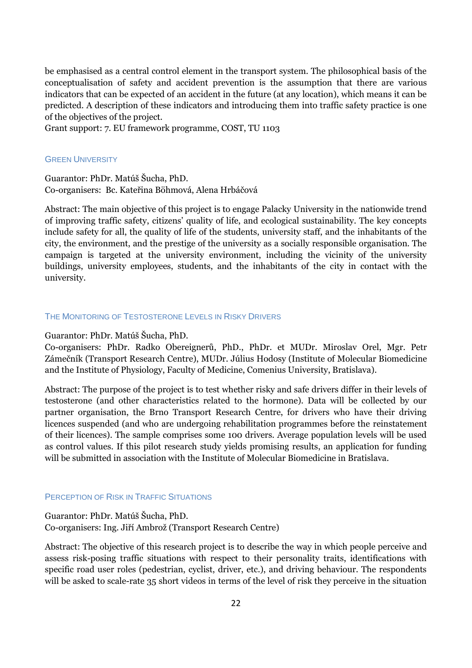be emphasised as a central control element in the transport system. The philosophical basis of the conceptualisation of safety and accident prevention is the assumption that there are various indicators that can be expected of an accident in the future (at any location), which means it can be predicted. A description of these indicators and introducing them into traffic safety practice is one of the objectives of the project.

Grant support: 7. EU framework programme, COST, TU 1103

## **GREEN UNIVERSITY**

Guarantor: PhDr. Matúš Šucha, PhD. Co-organisers: Bc. Kateřina Böhmová, Alena Hrbáčová

Abstract: The main objective of this project is to engage Palacky University in the nationwide trend of improving traffic safety, citizens' quality of life, and ecological sustainability. The key concepts include safety for all, the quality of life of the students, university staff, and the inhabitants of the city, the environment, and the prestige of the university as a socially responsible organisation. The campaign is targeted at the university environment, including the vicinity of the university buildings, university employees, students, and the inhabitants of the city in contact with the university.

## THE MONITORING OF TESTOSTERONE LEVELS IN RISKY DRIVERS

#### Guarantor: PhDr. Matúš Šucha, PhD.

Co-organisers: PhDr. Radko Obereignerů, PhD., PhDr. et MUDr. Miroslav Orel, Mgr. Petr Zámečník (Transport Research Centre), MUDr. Július Hodosy (Institute of Molecular Biomedicine and the Institute of Physiology, Faculty of Medicine, Comenius University, Bratislava).

Abstract: The purpose of the project is to test whether risky and safe drivers differ in their levels of testosterone (and other characteristics related to the hormone). Data will be collected by our partner organisation, the Brno Transport Research Centre, for drivers who have their driving licences suspended (and who are undergoing rehabilitation programmes before the reinstatement of their licences). The sample comprises some 100 drivers. Average population levels will be used as control values. If this pilot research study yields promising results, an application for funding will be submitted in association with the Institute of Molecular Biomedicine in Bratislava.

#### PERCEPTION OF RISK IN TRAFFIC SITUATIONS

Guarantor: PhDr. Matúš Šucha, PhD. Co-organisers: Ing. Jiří Ambrož (Transport Research Centre)

Abstract: The objective of this research project is to describe the way in which people perceive and assess risk-posing traffic situations with respect to their personality traits, identifications with specific road user roles (pedestrian, cyclist, driver, etc.), and driving behaviour. The respondents will be asked to scale-rate 35 short videos in terms of the level of risk they perceive in the situation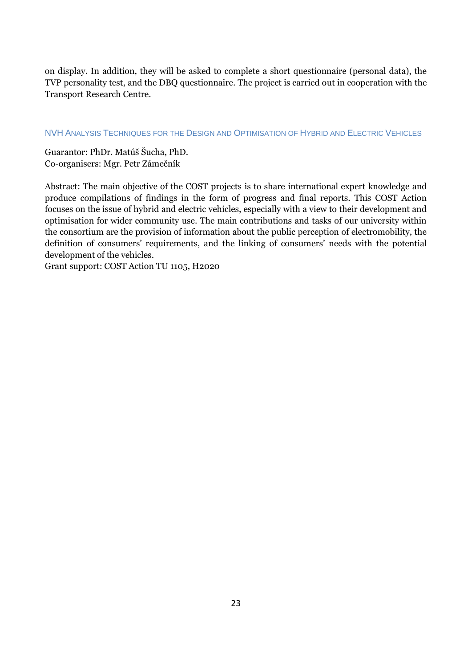on display. In addition, they will be asked to complete a short questionnaire (personal data), the TVP personality test, and the DBQ questionnaire. The project is carried out in cooperation with the Transport Research Centre.

# NVH ANALYSIS TECHNIQUES FOR THE DESIGN AND OPTIMISATION OF HYBRID AND ELECTRIC VEHICLES

Guarantor: PhDr. Matúš Šucha, PhD. Co-organisers: Mgr. Petr Zámečník

Abstract: The main objective of the COST projects is to share international expert knowledge and produce compilations of findings in the form of progress and final reports. This COST Action focuses on the issue of hybrid and electric vehicles, especially with a view to their development and optimisation for wider community use. The main contributions and tasks of our university within the consortium are the provision of information about the public perception of electromobility, the definition of consumers' requirements, and the linking of consumers' needs with the potential development of the vehicles.

Grant support: COST Action TU 1105, H2020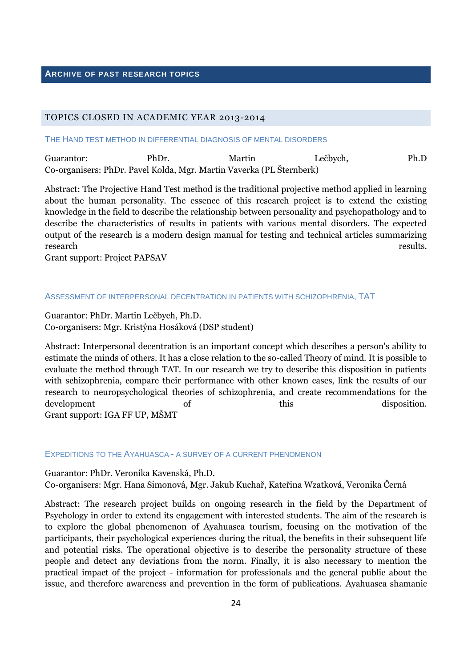# **ARCHIVE OF PAST RESEARCH TOPICS**

# TOPICS CLOSED IN ACADEMIC YEAR 2013-2014

THE HAND TEST METHOD IN DIFFERENTIAL DIAGNOSIS OF MENTAL DISORDERS

Guarantor: PhDr. Martin Lečbych, Ph.D Co-organisers: PhDr. Pavel Kolda, Mgr. Martin Vaverka (PL Šternberk)

Abstract: The Projective Hand Test method is the traditional projective method applied in learning about the human personality. The essence of this research project is to extend the existing knowledge in the field to describe the relationship between personality and psychopathology and to describe the characteristics of results in patients with various mental disorders. The expected output of the research is a modern design manual for testing and technical articles summarizing research results.

Grant support: Project PAPSAV

#### ASSESSMENT OF INTERPERSONAL DECENTRATION IN PATIENTS WITH SCHIZOPHRENIA, TAT

Guarantor: PhDr. Martin Lečbych, Ph.D. Co-organisers: Mgr. Kristýna Hosáková (DSP student)

Abstract: Interpersonal decentration is an important concept which describes a person's ability to estimate the minds of others. It has a close relation to the so-called Theory of mind. It is possible to evaluate the method through TAT. In our research we try to describe this disposition in patients with schizophrenia, compare their performance with other known cases, link the results of our research to neuropsychological theories of schizophrenia, and create recommendations for the development of this disposition. Grant support: IGA FF UP, MŠMT

EXPEDITIONS TO THE AYAHUASCA - A SURVEY OF A CURRENT PHENOMENON

Guarantor: PhDr. Veronika Kavenská, Ph.D. Co-organisers: Mgr. Hana Simonová, Mgr. Jakub Kuchař, Kateřina Wzatková, Veronika Černá

Abstract: The research project builds on ongoing research in the field by the Department of Psychology in order to extend its engagement with interested students. The aim of the research is to explore the global phenomenon of Ayahuasca tourism, focusing on the motivation of the participants, their psychological experiences during the ritual, the benefits in their subsequent life and potential risks. The operational objective is to describe the personality structure of these people and detect any deviations from the norm. Finally, it is also necessary to mention the practical impact of the project - information for professionals and the general public about the issue, and therefore awareness and prevention in the form of publications. Ayahuasca shamanic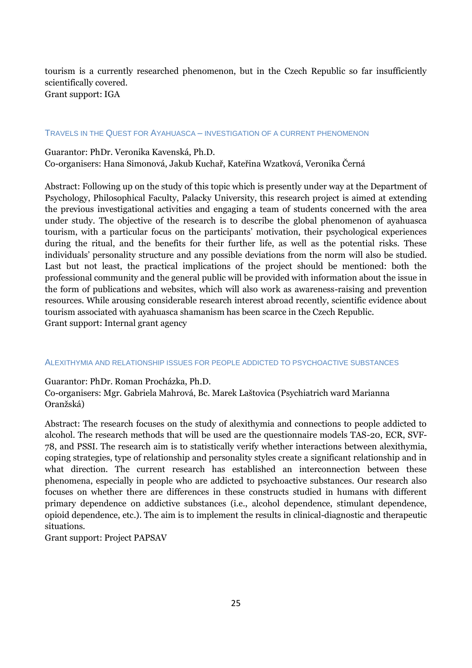tourism is a currently researched phenomenon, but in the Czech Republic so far insufficiently scientifically covered. Grant support: IGA

#### TRAVELS IN THE QUEST FOR AYAHUASCA – INVESTIGATION OF A CURRENT PHENOMENON

Guarantor: PhDr. Veronika Kavenská, Ph.D. Co-organisers: Hana Simonová, Jakub Kuchař, Kateřina Wzatková, Veronika Černá

Abstract: Following up on the study of this topic which is presently under way at the Department of Psychology, Philosophical Faculty, Palacky University, this research project is aimed at extending the previous investigational activities and engaging a team of students concerned with the area under study. The objective of the research is to describe the global phenomenon of ayahuasca tourism, with a particular focus on the participants' motivation, their psychological experiences during the ritual, and the benefits for their further life, as well as the potential risks. These individuals' personality structure and any possible deviations from the norm will also be studied. Last but not least, the practical implications of the project should be mentioned: both the professional community and the general public will be provided with information about the issue in the form of publications and websites, which will also work as awareness-raising and prevention resources. While arousing considerable research interest abroad recently, scientific evidence about tourism associated with ayahuasca shamanism has been scarce in the Czech Republic. Grant support: Internal grant agency

#### ALEXITHYMIA AND RELATIONSHIP ISSUES FOR PEOPLE ADDICTED TO PSYCHOACTIVE SUBSTANCES

Guarantor: PhDr. Roman Procházka, Ph.D.

Co-organisers: Mgr. Gabriela Mahrová, Bc. Marek Laštovica (Psychiatrich ward Marianna Oranžská)

Abstract: The research focuses on the study of alexithymia and connections to people addicted to alcohol. The research methods that will be used are the questionnaire models TAS-20, ECR, SVF-78, and PSSI. The research aim is to statistically verify whether interactions between alexithymia, coping strategies, type of relationship and personality styles create a significant relationship and in what direction. The current research has established an interconnection between these phenomena, especially in people who are addicted to psychoactive substances. Our research also focuses on whether there are differences in these constructs studied in humans with different primary dependence on addictive substances (i.e., alcohol dependence, stimulant dependence, opioid dependence, etc.). The aim is to implement the results in clinical-diagnostic and therapeutic situations.

Grant support: Project PAPSAV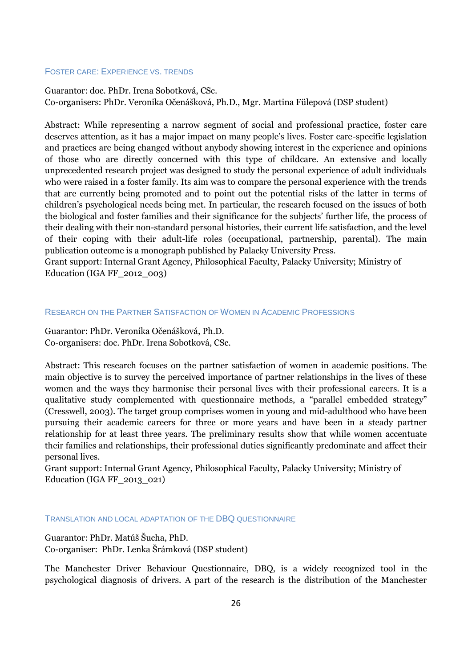#### FOSTER CARE: EXPERIENCE VS. TRENDS

Guarantor: doc. PhDr. Irena Sobotková, CSc. Co-organisers: PhDr. Veronika Očenášková, Ph.D., Mgr. Martina Fülepová (DSP student)

Abstract: While representing a narrow segment of social and professional practice, foster care deserves attention, as it has a major impact on many people's lives. Foster care-specific legislation and practices are being changed without anybody showing interest in the experience and opinions of those who are directly concerned with this type of childcare. An extensive and locally unprecedented research project was designed to study the personal experience of adult individuals who were raised in a foster family. Its aim was to compare the personal experience with the trends that are currently being promoted and to point out the potential risks of the latter in terms of children's psychological needs being met. In particular, the research focused on the issues of both the biological and foster families and their significance for the subjects' further life, the process of their dealing with their non-standard personal histories, their current life satisfaction, and the level of their coping with their adult-life roles (occupational, partnership, parental). The main publication outcome is a monograph published by Palacky University Press.

Grant support: Internal Grant Agency, Philosophical Faculty, Palacky University; Ministry of Education (IGA FF\_2012\_003)

# RESEARCH ON THE PARTNER SATISFACTION OF WOMEN IN ACADEMIC PROFESSIONS

Guarantor: PhDr. Veronika Očenášková, Ph.D. Co-organisers: doc. PhDr. Irena Sobotková, CSc.

Abstract: This research focuses on the partner satisfaction of women in academic positions. The main objective is to survey the perceived importance of partner relationships in the lives of these women and the ways they harmonise their personal lives with their professional careers. It is a qualitative study complemented with questionnaire methods, a "parallel embedded strategy" (Cresswell, 2003). The target group comprises women in young and mid-adulthood who have been pursuing their academic careers for three or more years and have been in a steady partner relationship for at least three years. The preliminary results show that while women accentuate their families and relationships, their professional duties significantly predominate and affect their personal lives.

Grant support: Internal Grant Agency, Philosophical Faculty, Palacky University; Ministry of Education (IGA FF\_2013\_021)

#### TRANSLATION AND LOCAL ADAPTATION OF THE DBQ QUESTIONNAIRE

# Guarantor: PhDr. Matúš Šucha, PhD. Co-organiser: PhDr. Lenka Šrámková (DSP student)

The Manchester Driver Behaviour Questionnaire, DBQ, is a widely recognized tool in the psychological diagnosis of drivers. A part of the research is the distribution of the Manchester